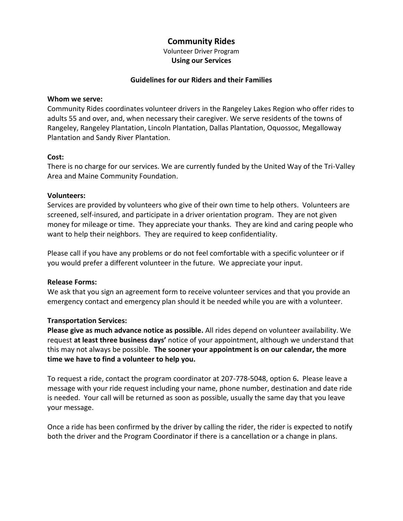# **Community Rides**

Volunteer Driver Program **Using our Services**

## **Guidelines for our Riders and their Families**

#### **Whom we serve:**

Community Rides coordinates volunteer drivers in the Rangeley Lakes Region who offer rides to adults 55 and over, and, when necessary their caregiver. We serve residents of the towns of Rangeley, Rangeley Plantation, Lincoln Plantation, Dallas Plantation, Oquossoc, Megalloway Plantation and Sandy River Plantation.

## **Cost:**

There is no charge for our services. We are currently funded by the United Way of the Tri-Valley Area and Maine Community Foundation.

## **Volunteers:**

Services are provided by volunteers who give of their own time to help others. Volunteers are screened, self-insured, and participate in a driver orientation program. They are not given money for mileage or time. They appreciate your thanks. They are kind and caring people who want to help their neighbors. They are required to keep confidentiality.

Please call if you have any problems or do not feel comfortable with a specific volunteer or if you would prefer a different volunteer in the future. We appreciate your input.

#### **Release Forms:**

We ask that you sign an agreement form to receive volunteer services and that you provide an emergency contact and emergency plan should it be needed while you are with a volunteer.

#### **Transportation Services:**

**Please give as much advance notice as possible.** All rides depend on volunteer availability. We request **at least three business days'** notice of your appointment, although we understand that this may not always be possible. **The sooner your appointment is on our calendar, the more time we have to find a volunteer to help you.** 

To request a ride, contact the program coordinator at 207-778-5048, option 6**.** Please leave a message with your ride request including your name, phone number, destination and date ride is needed. Your call will be returned as soon as possible, usually the same day that you leave your message.

Once a ride has been confirmed by the driver by calling the rider, the rider is expected to notify both the driver and the Program Coordinator if there is a cancellation or a change in plans.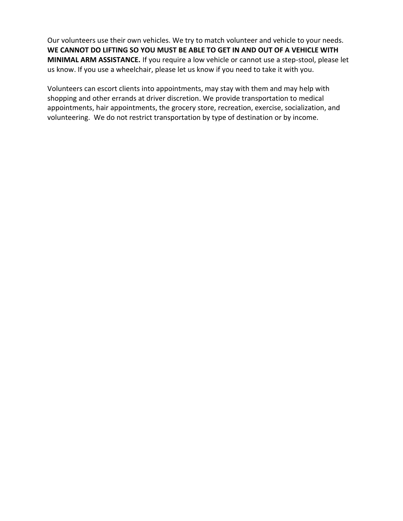Our volunteers use their own vehicles. We try to match volunteer and vehicle to your needs. **WE CANNOT DO LIFTING SO YOU MUST BE ABLE TO GET IN AND OUT OF A VEHICLE WITH MINIMAL ARM ASSISTANCE.** If you require a low vehicle or cannot use a step-stool, please let us know. If you use a wheelchair, please let us know if you need to take it with you.

Volunteers can escort clients into appointments, may stay with them and may help with shopping and other errands at driver discretion. We provide transportation to medical appointments, hair appointments, the grocery store, recreation, exercise, socialization, and volunteering. We do not restrict transportation by type of destination or by income.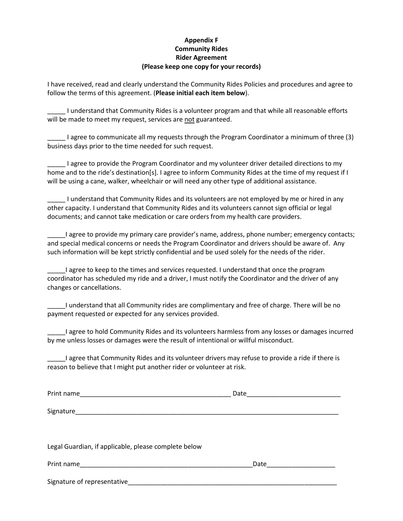## **Appendix F Community Rides Rider Agreement (Please keep one copy for your records)**

I have received, read and clearly understand the Community Rides Policies and procedures and agree to follow the terms of this agreement. (**Please initial each item below**).

\_\_\_\_\_ I understand that Community Rides is a volunteer program and that while all reasonable efforts will be made to meet my request, services are not guaranteed.

\_\_\_\_\_ I agree to communicate all my requests through the Program Coordinator a minimum of three (3) business days prior to the time needed for such request.

\_\_\_\_\_ I agree to provide the Program Coordinator and my volunteer driver detailed directions to my home and to the ride's destination[s]. I agree to inform Community Rides at the time of my request if I will be using a cane, walker, wheelchair or will need any other type of additional assistance.

\_\_\_\_\_ I understand that Community Rides and its volunteers are not employed by me or hired in any other capacity. I understand that Community Rides and its volunteers cannot sign official or legal documents; and cannot take medication or care orders from my health care providers.

\_\_\_\_\_I agree to provide my primary care provider's name, address, phone number; emergency contacts; and special medical concerns or needs the Program Coordinator and drivers should be aware of. Any such information will be kept strictly confidential and be used solely for the needs of the rider.

I agree to keep to the times and services requested. I understand that once the program coordinator has scheduled my ride and a driver, I must notify the Coordinator and the driver of any changes or cancellations.

\_\_\_\_\_I understand that all Community rides are complimentary and free of charge. There will be no payment requested or expected for any services provided.

\_\_\_\_\_I agree to hold Community Rides and its volunteers harmless from any losses or damages incurred by me unless losses or damages were the result of intentional or willful misconduct.

\_\_\_\_\_I agree that Community Rides and its volunteer drivers may refuse to provide a ride if there is reason to believe that I might put another rider or volunteer at risk.

| Print name                                           | Date |
|------------------------------------------------------|------|
|                                                      |      |
|                                                      |      |
|                                                      |      |
|                                                      |      |
| Legal Guardian, if applicable, please complete below |      |
|                                                      | Date |
| Signature of representative                          |      |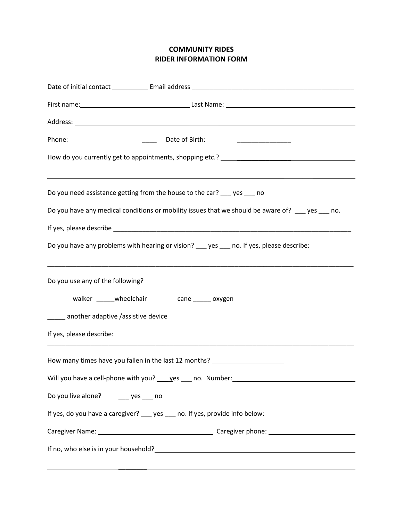## **COMMUNITY RIDES RIDER INFORMATION FORM**

| Do you need assistance getting from the house to the car? ___ yes ___ no                                                                                                                                                               |  |  |
|----------------------------------------------------------------------------------------------------------------------------------------------------------------------------------------------------------------------------------------|--|--|
| Do you have any medical conditions or mobility issues that we should be aware of? __ yes __ no.                                                                                                                                        |  |  |
|                                                                                                                                                                                                                                        |  |  |
| Do you have any problems with hearing or vision? ___ yes ___ no. If yes, please describe:                                                                                                                                              |  |  |
| Do you use any of the following?                                                                                                                                                                                                       |  |  |
| ________ walker ______ wheelchair _________ cane ______ oxygen                                                                                                                                                                         |  |  |
| _____ another adaptive /assistive device                                                                                                                                                                                               |  |  |
| If yes, please describe:                                                                                                                                                                                                               |  |  |
| How many times have you fallen in the last 12 months? __________________________                                                                                                                                                       |  |  |
|                                                                                                                                                                                                                                        |  |  |
| Do you live alone? _____ yes ____ no                                                                                                                                                                                                   |  |  |
| If yes, do you have a caregiver? __ yes __ no. If yes, provide info below:                                                                                                                                                             |  |  |
|                                                                                                                                                                                                                                        |  |  |
| If no, who else is in your household?<br><u> and the contract of the contract of the contract of the contract of the contract of the contract of the contract of the contract of the contract of the contract of the contract of t</u> |  |  |